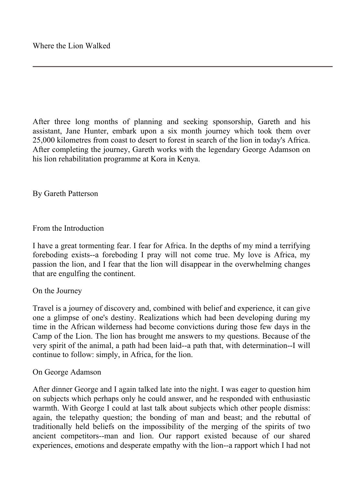After three long months of planning and seeking sponsorship, Gareth and his assistant, Jane Hunter, embark upon a six month journey which took them over 25,000 kilometres from coast to desert to forest in search of the lion in today's Africa. After completing the journey, Gareth works with the legendary George Adamson on his lion rehabilitation programme at Kora in Kenya.

By Gareth Patterson

## From the Introduction

I have a great tormenting fear. I fear for Africa. In the depths of my mind a terrifying foreboding exists--a foreboding I pray will not come true. My love is Africa, my passion the lion, and I fear that the lion will disappear in the overwhelming changes that are engulfing the continent.

## On the Journey

Travel is a journey of discovery and, combined with belief and experience, it can give one a glimpse of one's destiny. Realizations which had been developing during my time in the African wilderness had become convictions during those few days in the Camp of the Lion. The lion has brought me answers to my questions. Because of the very spirit of the animal, a path had been laid--a path that, with determination--I will continue to follow: simply, in Africa, for the lion.

## On George Adamson

After dinner George and I again talked late into the night. I was eager to question him on subjects which perhaps only he could answer, and he responded with enthusiastic warmth. With George I could at last talk about subjects which other people dismiss: again, the telepathy question; the bonding of man and beast; and the rebuttal of traditionally held beliefs on the impossibility of the merging of the spirits of two ancient competitors--man and lion. Our rapport existed because of our shared experiences, emotions and desperate empathy with the lion--a rapport which I had not